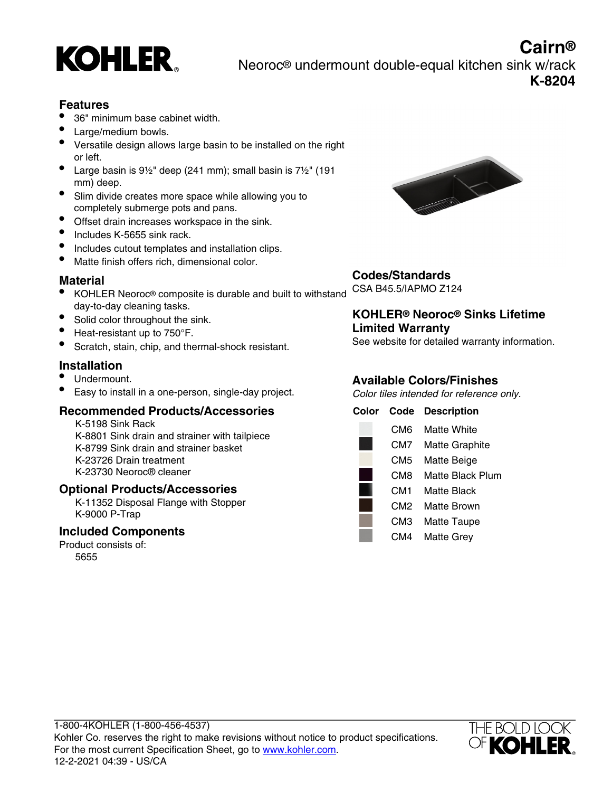

## **Cairn®** Neoroc® undermount double-equal kitchen sink w/rack **K-8204**

## **Features**

- 36" minimum base cabinet width.
- Large/medium bowls.
- Versatile design allows large basin to be installed on the right or left.
- Large basin is  $9\frac{1}{2}$ " deep (241 mm); small basin is  $7\frac{1}{2}$ " (191 mm) deep.
- Slim divide creates more space while allowing you to completely submerge pots and pans.
- Offset drain increases workspace in the sink.
- Includes K-5655 sink rack.
- Includes cutout templates and installation clips.
- Matte finish offers rich, dimensional color.

## **Material**

- KOHLER Neoroc® composite is durable and built to withstand day-to-day cleaning tasks.
- Solid color throughout the sink.
- Heat-resistant up to 750°F.
- Scratch, stain, chip, and thermal-shock resistant.

## **Installation**

- Undermount.
- Easy to install in a one-person, single-day project.

## **Recommended Products/Accessories**

K-5198 Sink Rack K-8801 Sink drain and strainer with tailpiece K-8799 Sink drain and strainer basket K-23726 Drain treatment K-23730 Neoroc® cleaner

## **Optional Products/Accessories**

K-11352 Disposal Flange with Stopper K-9000 P-Trap

#### **Included Components**

Product consists of: 5655



## **Codes/Standards**

CSA B45.5/IAPMO Z124

## **KOHLER® Neoroc® Sinks Lifetime Limited Warranty**

See website for detailed warranty information.

## **Available Colors/Finishes**

Color tiles intended for reference only.

| Color | Code            | <b>Description</b>    |
|-------|-----------------|-----------------------|
|       | CM6             | Matte White           |
|       | CM7             | <b>Matte Graphite</b> |
|       | CM5             | Matte Beige           |
|       | CM8             | Matte Black Plum      |
|       | CM1             | Matte Black           |
|       | CM <sub>2</sub> | Matte Brown           |
|       | CM3             | <b>Matte Taupe</b>    |
|       | CM4             | <b>Matte Grey</b>     |